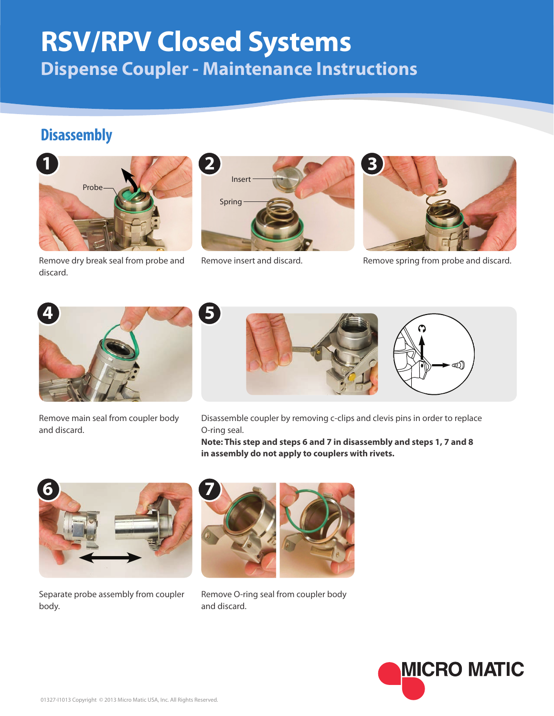## **RSV/RPV Closed Systems Dispense Coupler - Maintenance Instructions**

## **Disassembly**



Remove dry break seal from probe and discard.



Inser

Spring



Remove insert and discard. Remove spring from probe and discard.



Remove main seal from coupler body and discard.



Disassemble coupler by removing c-clips and clevis pins in order to replace O-ring seal.

**Note: This step and steps 6 and 7 in disassembly and steps 1, 7 and 8 in assembly do not apply to couplers with rivets.**



Separate probe assembly from coupler body.



Remove O-ring seal from coupler body and discard.